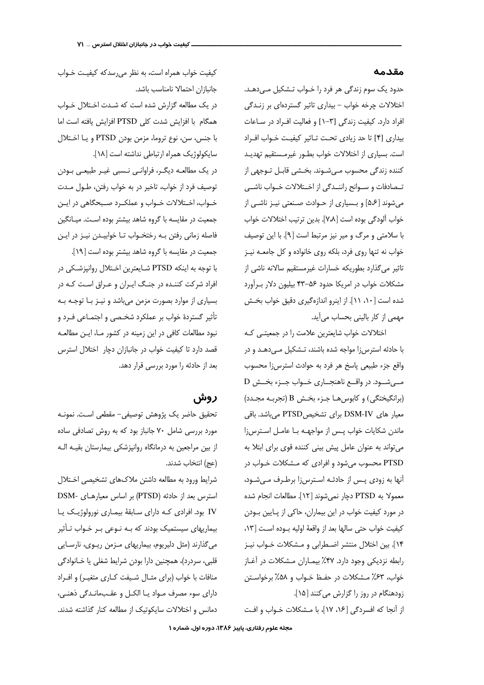#### مقدمه

حدود یک سوم زندگی هر فرد را خـواب تـشکیل مـی،دهـد. اختلالات چرخه خواب - بیداری تاثیر گستردهای بر زنـدگی افراد دارد. کیفیت زندگی [۳-۱] و فعالیت اف راد در ساعات بيداري [۴] تا حد زيادي تحت تاثير كيفيت خـواب افـراد است. بسیاری از اختلالات خواب بطور غیرمستقیم تهدید كننده زندگي محسوب مـيشـوند. بخـشي قابـل تـوجهي از تـصادفات و ســوانح راننــدگی از اخــتلالات خــواب ناشــی میشوند [۵،۶] و بـسیاری از حـوادث صـنعتی نیـز ناشـی از خواب آلودگی بوده است [۷،۸]. بدین ترتیب اختلالات خواب با سلامتی و مرگ و میر نیز مرتبط است [۹]. با این توصیف خواب نه تنها روى فرد، بلكه روى خانواده و كل جامعـه نيـز تاثیر میگذارد بطوریکه خسارات غیرمستقیم سالانه ناشی از مشکلات خواب در امریکا حدود ۵۶–۴۳ بیلیون دلار بـرآورد شده است [۱۱، ۱۱]. از اینرو اندازهگیری دقیق خواب بخش مهمی از کار بالینی بحساب می آید.

اختلالات خواب شايعترين علامت را در جمعيتـي كـه با حادثه استرس زا مواجه شده باشند، تـشكيل مـى دهـد و در واقع جزء طبيعي پاسخ هر فرد به حوادث استرسiا محسوب مےشود. در واقع ناهنجــاری خــواب جــزء بخــش D (برانگیختگی) و کابوس هـا جـزء بخـش B (تجربـه مجـدد) معیار های DSM-IV برای تشخیصPTSD میباشد. باقی ماندن شكايات خواب پـس از مواجهـه بـا عامـل اسـترسiا می تواند به عنوان عامل پیش بینی کننده قوی برای ابتلا به PTSD محسوب میشود و افرادی که مشکلات خـواب در آنها به زودی پس از حادثـه اسـترسiا برطـرف مـیشـود، معمولا به PTSD دچار نمي شوند [١٢]. مطالعات انجام شده در مورد کیفیت خواب در این بیماران، حاکی از پــایین بــودن كيفيت خواب حتى سالها بعد از واقعهٔ اوليه بـوده اسـت [١٣، ۱۴]. بین اختلال منتشر اضطرابی و مـشکلات خـواب نیـز رابطه نزدیکی وجود دارد. ۴۷٪ بیمـاران مـشکلات در آغـاز خواب، ۶۳٪ مـشکلات در حفـظ خـواب و ۵۸٪ برخواسـتن زودهنگام در روز را گزارش می کنند [۱۵]. از آنجا که افسردگی [۱۶، ۱۷]، با مـشکلات خـواب و افـت

کیفیت خواب همراه است، به نظر می رسدکه کیفیت خـواب جانبازان احتمالا نامناسب باشد.

در یک مطالعه گزارش شده است که شـدت اخـتلال خـواب همگام با افزایش شدت کلی PTSD افزایش یافته است اما با جنس، سن، نوع تروما، مزمن بودن PTSD و يـا اخـتلال سايكولوژيك همراه ارتباطي نداشته است [١٨].

در یک مطالعـه دیگـر، فراوانـی نـسبی غیـر طبیعـی بـودن توصيف فرد از خواب، تاخير در به خواب رفتن، طـول مـدت خـواب، اخـتلالات خـواب و عملكـرد صـبحگاهي در ايـن جمعیت در مقایسه با گروه شاهد بیشتر بوده اسـت. میـانگین فاصله زمانی رفتن بـه رختخـواب تـا خوابيـدن نيـز در ايـن جمعیت در مقایسه با گروه شاهد بیشتر بوده است [١٩]. با توجه به اینکه PTSD شـایعترین اخـتلال روانپزشـکی در افراد شرکت کننـده در جنـگ ايـران و عـراق اسـت کـه در بسیاری از موارد بصورت مزمن میباشد و نیـز بـا توجـه بـه تأثیر گستردهٔ خواب بر عملکرد شخـصی و اجتمـاعی فـرد و نبود مطالعات كافي در اين زمينه در كشور مـا، ايـن مطالعـه قصد دارد تا کیفیت خواب در جانبازان دچار اختلال استرس بعد از حادثه را مورد بررسی قرار دهد.

## روش

تحقيق حاضر يک پژوهش توصيفي- مقطعي است. نمونـه مورد بررسی شامل ۷۰ جانباز بود که به روش تصادفی ساده از بین مراجعین به درمانگاه روانپزشکی بیمارستان بقیـه الـه (عج) انتخاب شدند.

شرايط ورود به مطالعه داشتن ملاكهاى تشخيصى اختلال استرس بعد از حادثه (PTSD) بر اساس معیارهای -DSM IV بود. افرادی کـه دارای سـابقهٔ بیمـاری نورولوژیـک یـا بیماریهای سیستمیک بودند که بـه نـوعی بـر خـواب تـأثیر می گذارند (مثل دلیریوم، بیماریهای مـزمن ریـوی، نارسـایی قلبي، سردرد)، همچنين دارا بودن شرايط شغلي يا خـانوادگي منافات با خواب (برای مثـال شـیفت کـاری متغیـر) و افـراد داراي سوء مصرف مـواد يـا الكـل و عقـبمانـدگي ذهنـي، دمانس و اختلالات سایکوتیک از مطالعه کنار گذاشته شدند.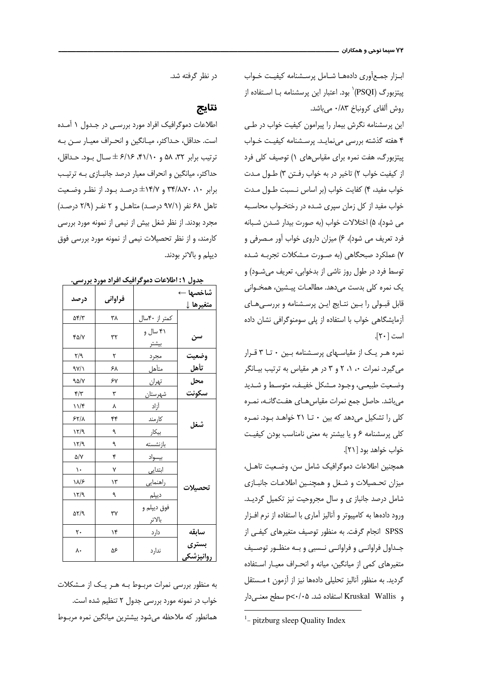ابـزار جمـع|ورى دادههــا شــامل پرســشنامه كيفيـت خــواب پیتزبورگ (PSQI)<sup>\</sup> بود. اعتبار این پرسشنامه بــا اســتفاده از روش ألفاي كرونباخ ۰/۸۳ مىباشد.

این پرسشنامه نگرش بیمار را پیرامون کیفیت خواب در طـی ۴ هفته گذشته بررسی مینمایـد. پرسـشنامه کیفیـت خـواب پیتزبورگ، هفت نمره برای مقیاسهای ۱) توصیف کلی فرد از كيفيت خواب ٢) تاخير در به خواب رفـتن ٣) طــول مــدت خواب مفيد، ۴) كفايت خواب (بر اساس نـسبت طـول مـدت خواب مفید از کل زمان سپری شـده در رختخـواب محاسـبه می شود)، ۵) اختلالات خواب (به صورت بیدار شـدن شـبانه فرد تعریف می شود)، ۶) میزان داروی خواب آور مـصرفی و ۷) عملکرد صبحگاهی (به صـورت مـشکلات تجربـه شـده توسط فرد در طول روز ناشی از بدخوابی، تعریف میشــود) و یک نمره کلی بدست میدهد. مطالعـات پیـشین، همخـوانی قابل قبولی را بین نتایج این پرسشنامه و بررسی های آزمایشگاهی خواب با استفاده از پلی سومنوگرافی نشان داده است [٢٠].

نمره هـر یـک از مقیاسـهای پرسـشنامه بـین ٠ تــا ٣ قــرار میگیرد. نمرات ۰، ۱، ۲ و ۳ در هر مقیاس به ترتیب بیـانگر وضـعيت طبيعـي، وجـود مـشكل خفيـف، متوسـط و شـديد میباشد. حاصل جمع نمرات مقیاس هـای هفـتگانـه، نمـره کلی را تشکیل میدهد که بین ۰ تــا ۲۱ خواهـد بـود. نمـره كلي پرسشنامه ۶ و يا بيشتر به معنى نامناسب بودن كيفيت خواب خواهد بود [۲۱].

همچنين اطلاعات دموگرافيک شامل سن، وضـعيت تاهـل، میزان تحصیلات و شـغل و همچنـین اطلاعـات جانبـازی شامل درصد جانباز ی و سال مجروحیت نیز تکمیل گردیـد. ورود دادهها به كامپيوتر و آناليز آماري با استفاده از نرم افـزار SPSS انجام گرفت. به منظور توصيف متغيرهاى كيفى از جـداول فراوانـي و فراوانـي نـسبي و بـه منظـور توصـيف متغیرهای کمی از میانگین، میانه و انحـراف معیـار اسـتفاده گردید. به منظور آنالیز تحلیلی دادهها نیز از آزمون t مـستقل و Kruskal Wallis استفاده شد. p<٠/٠۵ سطح معنى دار

 $<sup>1</sup>$  – pitzburg sleep Quality Index</sup>

 $\overline{a}$ 

در نظر گرفته شد.

-

# نتايج

اطلاعات دموگرافیک افراد مورد بررسـی در جـدول ۱ آمـده است. حداقل، حـداکثر، میـانگین و انحـراف معیـار سـن بـه  $\epsilon$ ترتيب برابر ٣٢، ۵۸ و ۴۱/۱۶، ۶/١۶ ± سـال بـود. حـداقل حداکثر، میانگین و انحراف معیار درصد جانبــازی بــه ترتیـب  $+2$ برابر ۰۱، ۳۴/۸،۷۰ و ۱۴/۷ درصد بود. از نظر وضعیت تاهل ۶۸ نفر (۹۷/۱ درصد) متاهـل و ۲ نفـر (۲/۹ درصـد) مجرد بودند. از نظر شغل بیش از نیمی از نمونه مورد بررسی كارمند، و از نظر تحصيلات نيمي از نمونه مورد بررسي فوق دییلم و بالاتر بودند.

جدول ۱: اطلاعات دموگرافیک افراد مورد بررسی.

| شاخصها ←<br><u>متغیرها ↓</u> |                               | فراواني | درصد                        |
|------------------------------|-------------------------------|---------|-----------------------------|
|                              | کمتر از ۴۰سال                 | ٣٨      | $\Delta f/\tau$             |
| سن                           | ۴۱ سال و<br><u>بیشتر</u>      | ٣٢      | ۴۵/۷                        |
| وضعيت                        | مجرد                          | ٢       | ۲/۹                         |
| تأهل                         | متأه <u>ل</u>                 | ۶۸      | ۹۷/۱                        |
| محل                          | تهران                         | ۶٧      | 9.0/V                       |
| سكونت                        | <u>شهرستان</u>                | ٣       | $\mathfrak{f}/\mathfrak{r}$ |
|                              | آزاد                          | ٨       | ۱۱/۴                        |
|                              | كارمند                        | ۴۴      | 55/1                        |
| شغل                          | ييكار                         | ٩       | 17/9                        |
|                              | بازنشسته                      | ٩       | ۱۲/۹                        |
|                              | بيسواد                        | ۴       | $\Delta/Y$                  |
|                              | ابتدایی                       | ٧       | $\mathcal{L}$               |
|                              | راهنمايي                      | ۱۳      | ۱۸/۶                        |
| تحصيلات                      | ديپلم                         | ٩       | $\frac{1}{4}$               |
|                              | فوق ديپلم و<br>بالات <u>ر</u> | ٣٧      | ۵۲/۹                        |
| سابقه                        | دارد                          | ۱۴      | ٢٠                          |
| بسترى<br>روانپزشکی           | ندارد                         | ۵۶      | ٨.                          |

به منظور بررسی نمرات مربـوط بـه هـر يـک از مـشکلات خواب در نمونه مورد بررسی جدول ۲ تنظیم شده است. همانطور که ملاحظه میشود بیشترین میانگین نمره مربـوط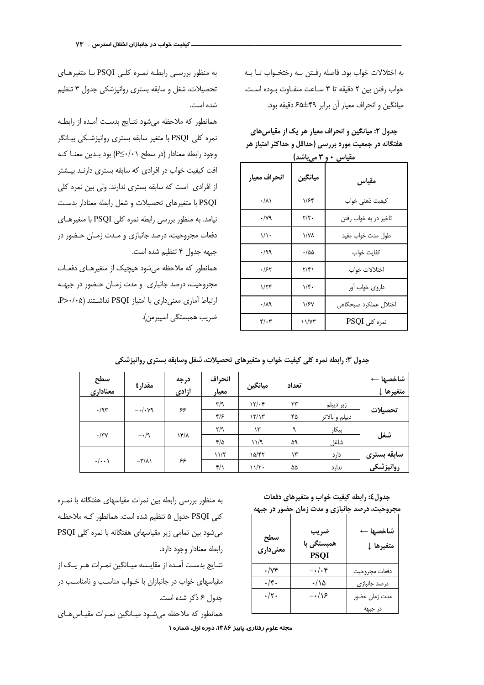به اختلالات خواب بود. فاصله رفتن بـه رختخـواب تـا بـه خواب رفتن بين ٢ دقيقه تا ۴ سـاعت متفـاوت بـوده اسـت. میانگین و انحراف معیار آن برابر ۴۹±۶۵ دقیقه بود.

جدول ۲: میانگین و انحراف معیار هر یک از مقیاس های هفتگانه در جمعیت مورد بررسی (حداقل و حداکثر امتیاز هر مقباس ۱۰ ۳ میںاشد)

| ۔ سی ج                  |       |                       |  |  |  |  |  |
|-------------------------|-------|-----------------------|--|--|--|--|--|
| انحراف معيار<br>ميانگين |       | مقياس                 |  |  |  |  |  |
| $\cdot/\lambda$         | ۱/۶۴  | كيفيت ذهني خواب       |  |  |  |  |  |
| ۰/۷۹                    | ۲/۲۰  | تاخیر در به خواب رفتن |  |  |  |  |  |
| ۱/۱۰                    | ۱/۷۸  | طول مدت خواب مفيد     |  |  |  |  |  |
| 9۹۰.                    | ه۱۰۰  | كفايت خواب            |  |  |  |  |  |
| ۰۱۶۲                    | ۲/۴۱  | اختلالات خواب         |  |  |  |  |  |
| ۱/۲۴                    | ۱/۴۰  | داروى خواب آور        |  |  |  |  |  |
| ۰/λ٩                    | ۱/۶۷  | اختلال عملكرد صبحگاهى |  |  |  |  |  |
| ۴/۰۳                    | ۱۱/۷۳ | نمرہ کلی PSQI         |  |  |  |  |  |

به منظور بررسی رابطـه نمـره کلـی PSQI بـا متغیرهـای تحصیلات، شغل و سابقه بستری روانپزشکی جدول ۳ تنظیم شده است.

همانطور كه ملاحظه مى شود نتـايج بدسـت آمـده از رابطـه نمرہ کلی PSQI با متغیر سابقه بستری روانیزشکی بیـانگر وجود رابطه معنادار (در سطح P<+/r) بود بـدين معنـا كـه افت کیفیت خواب در افرادی که سابقه بستری دارنـد بیـشتر از افرادی است که سابقه بستری ندارند. ولی بین نمره کلی PSQI با متغیرهای تحصیلات و شغل رابطه معنادار بدست نیامد. به منظور بررسی رابطه نمره کلی PSQI با متغیرهـای دفعات مجروحیت، درصد جانبازی و مـدت زمـان حـضور در جبهه جدول ۴ تنظیم شده است.

همانطور که ملاحظه میشود هیچیک از متغیرهـای دفعـات مجروحیت، درصد جانبازی و مدت زمـان حـضور در جبهـه ارتباط آماری معنی داری با امتیاز PSQI نداشتند (P>٠/٠۵، ضرب همستگی اسپرمن).

| جدول ۳: رابطه نمره کلی کیفیت خواب و متغیرهای تحصیلات، شغل وسابقه بستری روانپزشکی |  |
|----------------------------------------------------------------------------------|--|
|----------------------------------------------------------------------------------|--|

| سطح<br>معناداري    | مقدارt                   | درجه<br>أزادى  | انحراف<br>معيار         | ميانگين | تعداد |           | شاخصها ←<br>متغيرها ل |         |
|--------------------|--------------------------|----------------|-------------------------|---------|-------|-----------|-----------------------|---------|
|                    |                          |                | $\mathbf{r}/\mathbf{q}$ | 15/4    | ٢٣    | زیر دیپلم |                       |         |
| .79                | $-\cdot/\cdot\gamma$ 9   |                | ۶۶                      | ۴۱۶     | 15/15 | ۴۵        | ديپلم و بالاتر        | تحصيلات |
|                    |                          |                | $\mathbf{Y}/\mathbf{Y}$ | ۱۳      | ٩     | بيكار     |                       |         |
| $\cdot$ /۳ $\vee$  | $-\cdot/9$               | $\frac{16}{4}$ | $f/\Delta$              | 11/9    | ۵۹    | شاغل      | شغل                   |         |
|                    | $-\mathsf{r}/\mathsf{v}$ |                | 11/7                    | 10/57   | ۱۳    | دارد      | سابقه بسترى           |         |
| $\cdot/\cdot\cdot$ |                          | ۶۶             | $f/\lambda$             | 11/T    | ۵۵    | ندارد     | روانپزشکی             |         |

جدول£: رابطه کیفیت خواب و متغیرهای دفعات محروحیت، درصد حانیازی و مدت زمان حضور در حیهه

| $\cdots$ $\cdots$<br>سطح<br>معنیداری | ضريب<br>همبستگ <i>ی</i> با<br>PSQI | شاخصها ←<br>متغيرها ↓ |
|--------------------------------------|------------------------------------|-----------------------|
| $\cdot/\gamma$ ۴                     | $-\cdot/\cdot$ ۴                   | دفعات مجروحيت         |
| $\cdot/\mathfrak{r}\,.$              | ۰/۱۵                               | درصد جانبازي          |
| $\cdot/\tau$ .                       | -۰/۱۶                              | مدت زمان حضور         |
|                                      |                                    | در جبهه               |

به منظور بررسی رابطه بین نمرات مقیاسهای هفتگانه با نمـره کلی PSQI جدول ۵ تنظیم شده است. همانطور کـه ملاحظـه می شود بین تمامی زیر مقیاسهای هفتگانه با نمره کلی PSQI رابطه معنادار وجود دارد.

نتـايج بدسـت آمـده از مقايـسه ميـانگين نمـرات هـر يـک از مقیاسهای خواب در جانبازان با خـواب مناسـب و نامناسـب در جدول ۶ ذکر شده است.

همانطور که ملاحظه میشـود میـانگین نمـرات مقیـاسِهـای

مجله علوم رفتاری، پاییز ۱۳۸۶، دوره اول، شماره ۱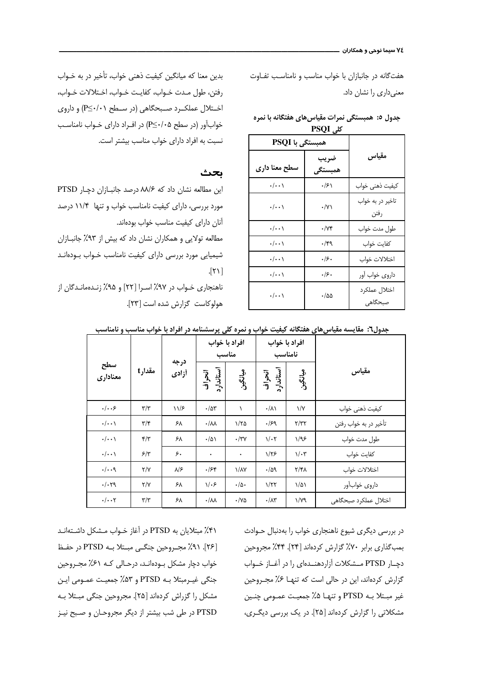هفت گانه در جانبازان با خواب مناسب و نامناسب تفاوت معنىداري را نشان داد.

|                    | ى <i>ن</i> ى 1) د    |                          |
|--------------------|----------------------|--------------------------|
| همبستگی با PSQI    |                      |                          |
| سطح معنا دارى      | ضريب<br>همبستگي      | مقياس                    |
| $\cdot/\cdot\cdot$ | $\cdot$ /۶۱          | كيفيت ذهنى خواب          |
| $\cdot/\cdot\cdot$ | $\cdot/\gamma\gamma$ | تاخیر در به خواب<br>رفتن |
| $\cdot/\cdot\cdot$ | ۰/۷۴                 | طول مدت خواب             |
| $\cdot/\cdot\cdot$ | ۰/۴۹                 | كفايت خواب               |
| $\cdot/\cdot\cdot$ | .49.                 | اختلالات خواب            |
| $\cdot/\cdot\cdot$ | .49.                 | داروی خواب آور           |
| $\cdot/\cdot\cdot$ | $\cdot$ /۵۵          | اختلال عملكرد<br>صبحگاهی |

جدول ٥: همبستگی نمرات مقیاس های هفتگانه با نمره  $DCOT$ 

بدین معنا که میانگین کیفیت ذهنی خواب، تأخیر در به خـواب رفتن، طول مدت خـواب، كفايـت خـواب، اخـتلالات خـواب، اختلال عملكـرد صـبحگاهي (در سـطح P≤٠/٠۱) و داروي خوابآور (در سطح ۶۰/۰۵) در اف اد دارای خـواب نامناسـب نسبت به افراد دارای خواب مناسب بیشتر است.

#### ىحث

این مطالعه نشان داد که ۸۸/۶ درصد جانبازان دچار PTSD مورد بررسی، دارای کیفیت نامناسب خواب و تنها ۱۱/۴ درصد آنان دارای کیفیت مناسب خواب بودهاند. مطالعه تولایی و همکاران نشان داد که بیش از ۹۳٪ جانبـازان شیمیایی مورد بررسی دارای کیفیت نامناسب خـواب بـودهانـد  $[T1]$ 

ناهنجاری خـواب در ۹۷٪ اسـرا [۲۲] و ۹۵٪ زنـدهمانـدگان از هولوكاست گزارش شده است [٢٣].

|                                      | مقدارt                  |               | افراد با خواب<br>مناسب |                     | افراد با خواب<br>نامناسب |                      | جدون . ها يسه ميپاس هاي همچنانه گيليت خواب و تمره گني پرسستاهه در افزاد با خواب هماسب و تاهشت |
|--------------------------------------|-------------------------|---------------|------------------------|---------------------|--------------------------|----------------------|-----------------------------------------------------------------------------------------------|
| سطح<br>معناداري                      |                         | درجه<br>أزادى | استاندارد<br>انحراف    | ڛڶػؖؾڹ              | استاندارد<br>انحراف      | ڛڶٮؘػؖۑڹ             | مقياس                                                                                         |
| .   5                                | $\mathbf{r}/\mathbf{r}$ | 115           | $\cdot/\Delta r$       | ١                   | $\cdot/\lambda$          | $\frac{1}{\sqrt{2}}$ | كيفيت ذهنى خواب                                                                               |
| $\cdot/\cdot\cdot$                   | $\mathbf{r}/\mathbf{r}$ | ۶۸            | $\cdot/\lambda\lambda$ | 1/70                | .159                     | $\frac{1}{\sqrt{2}}$ | تأخير در به خواب رفتن                                                                         |
| $\cdot/\cdot\cdot$                   | $\mathbf{r}/\mathbf{r}$ | ۶۸            | $\cdot/\Delta$         | $\cdot$ /۳ $\gamma$ | $1/\cdot 7$              | 1/95                 | طول مدت خواب                                                                                  |
| $\cdot/\cdot\cdot$                   | $5/\tau$                | ۶.            | ٠                      | ٠                   | 1/75                     | $1/\cdot 7$          | كفايت خواب                                                                                    |
| $\cdot/\cdot\cdot$ 9                 | $\Upsilon/\Upsilon$     | $\lambda$ /۶  | .758                   | $\frac{1}{\lambda}$ | $\cdot/\Delta$ 9         | Y/Y                  | اختلالات خواب                                                                                 |
| $\cdot/\cdot$ $\mathsf{r}\mathsf{q}$ | $\Upsilon/\Upsilon$     | ۶λ            | $1/\cdot$ ۶            | $\cdot/\Delta$ .    | 1/77                     | $1/\Delta$           | داروى خوابأور                                                                                 |
| $\cdot/\cdot\cdot$ ۲                 | $\tau/\tau$             | ۶۸            | $\cdot/\lambda\lambda$ | $\cdot$ /YQ         | $\cdot/\lambda$ ۳        | $1/\gamma$ ۹         | اختلال عملكرد صبحگاهي                                                                         |

|  |  |  |  |  |  |  | جدول٦: مقايسه مقياسهاي هفتگانه كيفيت خواب و نمره كلي پرسشنامه در افراد با خواب مناسب و نامناسب |  |
|--|--|--|--|--|--|--|------------------------------------------------------------------------------------------------|--|
|--|--|--|--|--|--|--|------------------------------------------------------------------------------------------------|--|

۴۱٪ مبتلایان به PTSD در آغاز خـواب مـشکل داشـتهانـد [۲۶]. ۹۱٪ مجـروحین جنگـی مبـتلا بـه PTSD در حفـظ خواب دچار مشکل بـودهانـد، درحـالی کـه ۶۱٪ مجـروحین جنگی غیـرمبتلا بـه PTSD و ۵۳٪ جمعیـت عمـومی ایـن مشكل را گزراش كردهاند [۲۵]. مجروحين جنگي مبـتلا بـه PTSD در طی شب بیشتر از دیگر مجروحان و صبح نیـز

در بررسی دیگری شیوع ناهنجاری خواب را بهدنبال حـوادث بمب گذاری برابر ۷۰٪ گزارش کردهاند [۲۴]. ۴۴٪ مجروحین دچـار PTSD مــشكلات آزاردهنــدهای را در آغــاز خــواب گزارش کردهاند، این در حالی است که تنهـا ۶٪ مجـروحین غير مبتلا بـه PTSD و تنهـا ۵٪ جمعيـت عمـومي چنـين مشکلاتی را گزارش کردهاند [۲۵]. در یک بررسی دیگری،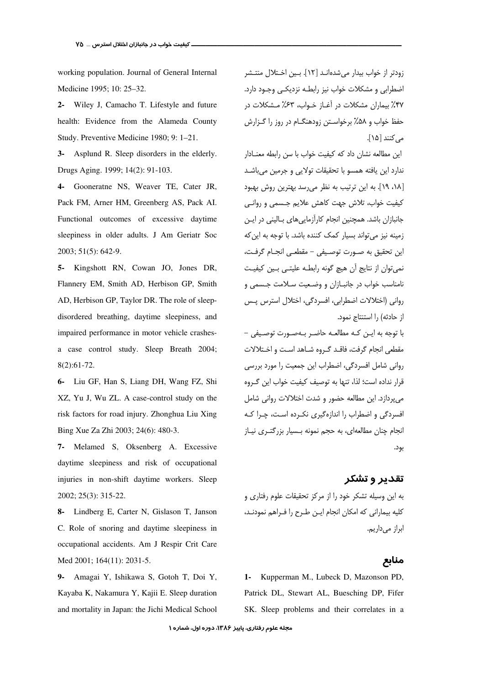working population. Journal of General Internal Medicine 1995; 10: 25-32.

2- Wiley J, Camacho T. Lifestyle and future health: Evidence from the Alameda County Study. Preventive Medicine 1980; 9: 1-21.

3- Asplund R. Sleep disorders in the elderly. Drugs Aging. 1999; 14(2): 91-103.

Gooneratne NS, Weaver TE, Cater JR,  $4-$ Pack FM, Arner HM, Greenberg AS, Pack AI. Functional outcomes of excessive daytime sleepiness in older adults. J Am Geriatr Soc 2003; 51(5): 642-9.

5- Kingshott RN, Cowan JO, Jones DR, Flannery EM, Smith AD, Herbison GP, Smith AD, Herbison GP, Taylor DR. The role of sleepdisordered breathing, daytime sleepiness, and impaired performance in motor vehicle crashesa case control study. Sleep Breath 2004;  $8(2):61-72.$ 

6- Liu GF, Han S, Liang DH, Wang FZ, Shi XZ, Yu J, Wu ZL. A case-control study on the risk factors for road injury. Zhonghua Liu Xing Bing Xue Za Zhi 2003; 24(6): 480-3.

7- Melamed S, Oksenberg A. Excessive daytime sleepiness and risk of occupational injuries in non-shift daytime workers. Sleep 2002; 25(3): 315-22.

Lindberg E, Carter N, Gislason T, Janson  $8-$ C. Role of snoring and daytime sleepiness in occupational accidents. Am J Respir Crit Care Med 2001; 164(11): 2031-5.

Amagai Y, Ishikawa S, Gotoh T, Doi Y,  $9-$ Kayaba K, Nakamura Y, Kajii E. Sleep duration and mortality in Japan: the Jichi Medical School زودتر از خواب بیدار می شدهانـد [۱۲]. بـین اخـتلال منتـشر اضطرابي و مشكلات خواب نيز رابطـه نزديكـي وجـود دارد. ۴۷٪ بیماران مشکلات در آغـاز خـواب، ۶۳٪ مـشکلات در حفظ خواب و ۵۸٪ برخواسـتن زودهنگـام در روز را گـزارش مه کنند [۱۵].

این مطالعه نشان داد که کیفیت خواب با سن رابطه معنـادار ندارد این یافته همسو با تحقیقات تولایی و جرمین میباشـد [١٨، ١٩]. به اين ترتيب به نظر مي رسد بهترين روش بهبود كيفيت خواب، تلاش جهت كاهش علايم جـسمى و روانـى جانبازان باشد. همچنین انجام کارآزمایی های پـالینی در ایـن زمینه نیز می *ت*واند بسیار کمک کننده باشد. با توجه به این *ک*ه این تحقیق به صـورت توصـیفی – مقطعـی انجـام گرفـت، نمي توان از نتايج آن هيچ گونه رابطـه عليتـي بـين كيفيـت نامناسب خواب در جانبـازان و وضـعیت ســلامت جـسمی و رواني (اختلالات اضطرابي، افسردگي، اختلال استرس پس از حادثه) ,ا استنتاج نمود.

با توجه به ایـن کـه مطالعـه حاضـر بـهصـورت توصـیفی -مقطعی انجام گرفت، فاقـد گـروه شـاهد اسـت و اخـتلالات روانی شامل افسردگی، اضطراب این جمعیت را مورد بررسی قرار نداده است؛ لذا، تنها به توصيف كيفيت خواب اين گـروه می پردازد. این مطالعه حضور و شدت اختلالات روانی شامل افسردگی و اضطراب را اندازهگیری نک رده است، چـرا کـه انجام چنان مطالعهای، به حجم نمونه بـسیار بزرگتـری نیـاز بود.

## تقدیر و تشکر

به این وسیله تشکر خود را از مرکز تحقیقات علوم رفتاری و كليه بيماراني كه امكان انجام ايـن طـرح را فـراهم نمودنـد، ابراز می داریم.

### منابع

Kupperman M., Lubeck D, Mazonson PD,  $1 -$ Patrick DL, Stewart AL, Buesching DP, Fifer SK. Sleep problems and their correlates in a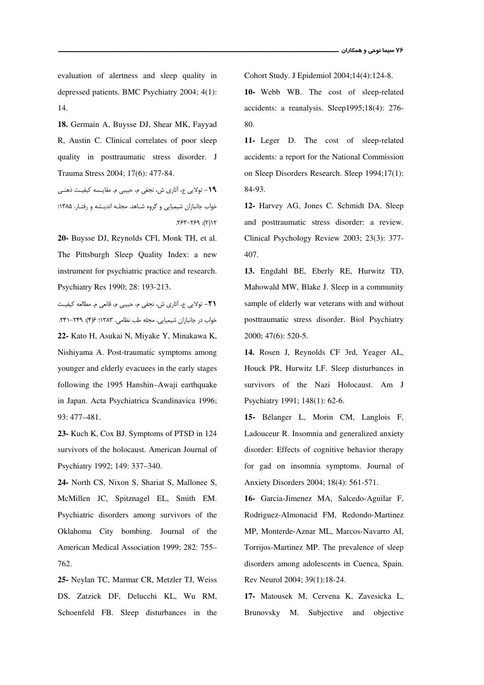evaluation of alertness and sleep quality in depressed patients. BMC Psychiatry 2004; 4(1): 14.

-

18. Germain A, Buysse DJ, Shear MK, Fayyad R, Austin C. Clinical correlates of poor sleep quality in posttraumatic stress disorder. J Trauma Stress 2004; 17(6): 477-84.

1**۹** - تولایی ع، آثاری ش، نجفی م، حبیبی م. مقایـسه کیفیـت ذهنـی خواب جانبازان شیمیایی و گروه شاهد. مجلـه اندیـشه و رفتـار. ۱۳۸۵؛  $Y(17); P37-737.$ 

20- Buysse DJ, Reynolds CFI, Monk TH, et al. The Pittsburgh Sleep Quality Index: a new instrument for psychiatric practice and research. Psychiatry Res 1990; 28: 193-213

+7- تولايي ع، آثاري ش، نجفي م، حبيبي م، قانعي م. مطالعه كيفيت خواب در جانبازان شیمیایی. مجله طب نظامی. ۱۳۸۳؛ ۶۶): ۲۴۹–۲۴۱. 22- Kato H, Asukai N, Miyake Y, Minakawa K, Nishiyama A. Post-traumatic symptoms among younger and elderly evacuees in the early stages following the 1995 Hanshin–Awaji earthquake in Japan. Acta Psychiatrica Scandinavica 1996; 93: 477–481.

23- Kuch K, Cox BJ. Symptoms of PTSD in 124 survivors of the holocaust. American Journal of Psychiatry 1992; 149: 337–340.

24- North CS, Nixon S, Shariat S, Mallonee S, McMillen JC, Spitznagel EL, Smith EM. Psychiatric disorders among survivors of the Oklahoma City bombing. Journal of the American Medical Association 1999; 282: 755– 762.

25- Neylan TC, Marmar CR, Metzler TJ, Weiss DS, Zatzick DF, Delucchi KL, Wu RM, Schoenfeld FB. Sleep disturbances in the Cohort Study. J Epidemiol 2004;14(4):124-8.

10- Webb WB. The cost of sleep-related accidents: a reanalysis. Sleep1995;18(4): 276- 80.

11- Leger D. The cost of sleep-related accidents: a report for the National Commission on Sleep Disorders Research. Sleep 1994;17(1): 84-93.

12- Harvey AG, Jones C. Schmidt DA. Sleep and posttraumatic stress disorder: a review. Clinical Psychology Review 2003; 23(3): 377- 407.

13. Engdahl BE, Eberly RE, Hurwitz TD, Mahowald MW, Blake J. Sleep in a community sample of elderly war veterans with and without posttraumatic stress disorder. Biol Psychiatry 2000; 47(6): 520-5.

14. Rosen J, Reynolds CF 3rd, Yeager AL, Houck PR, Hurwitz LF. Sleep disturbances in survivors of the Nazi Holocaust. Am J Psychiatry 1991; 148(1): 62-6.

15- Bélanger L, Morin CM, Langlois F, Ladouceur R. Insomnia and generalized anxiety disorder: Effects of cognitive behavior therapy for gad on insomnia symptoms. Journal of Anxiety Disorders 2004; 18(4): 561-571.

16- Garcia-Jimenez MA, Salcedo-Aguilar F, Rodriguez-Almonacid FM, Redondo-Martinez MP, Monterde-Aznar ML, Marcos-Navarro AI, Torrijos-Martinez MP. The prevalence of sleep disorders among adolescents in Cuenca, Spain. Rev Neurol 2004; 39(1):18-24.

17- Matousek M, Cervena K, Zavesicka L, Brunovsky M. Subjective and objective